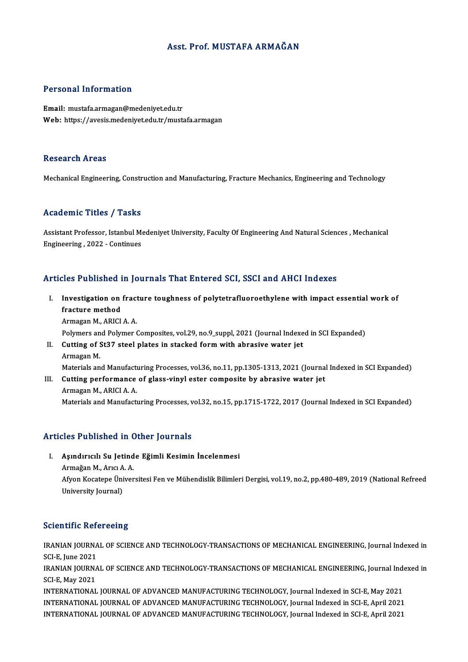# Asst. Prof.MUSTAFA ARMAĞAN

## Personal Information

Email: mustafa.armagan@medeniyet.edu.tr Web: https://avesis.medeniyet.edu.tr/mustafa.armagan

### **Research Areas**

Mechanical Engineering, Construction and Manufacturing, Fracture Mechanics, Engineering and Technology

## Academic Titles / Tasks

Academic Titles / Tasks<br>Assistant Professor, Istanbul Medeniyet University, Faculty Of Engineering And Natural Sciences , Mechanical<br>Engineering, 2022, Centinues Assistant Professor, Istanbul Me<br>Engineering , 2022 - Continues

# Articles Published in Journals That Entered SCI, SSCI and AHCI Indexes

rticles Published in Journals That Entered SCI, SSCI and AHCI Indexes<br>I. Investigation on fracture toughness of polytetrafluoroethylene with impact essential work of<br>fracture method Investigation on<br>fracture method<br>Armagan M ABICI Investigation on fract<br>fracture method<br>Armagan M., ARICI A. A.<br>Polymors and Polymor ( fracture method<br>Armagan M., ARICI A. A.<br>Polymers and Polymer Composites, vol.29, no.9\_suppl, 2021 (Journal Indexed in SCI Expanded)

- II. Cutting of St37 steel plates in stacked form with abrasive water jet ArmaganM. Materials and Manufacturing Processes, vol.36, no.11, pp.1305-1313, 2021 (Journal Indexed in SCI Expanded)
- III. Cutting performance of glass-vinyl ester composite by abrasive water jet ArmaganM.,ARICIA.A. Materials and Manufacturing Processes, vol.32, no.15, pp.1715-1722, 2017 (Journal Indexed in SCI Expanded)

## Articles Published in Other Journals

rticles Published in Other Journals<br>I. Aşındırıcılı Su Jetinde Eğimli Kesimin İncelenmesi<br>Armağan M. Arısı A. A.

Armağan M., Arıcı A. A.<br>Aşındırıcılı Su Jetind<br>Armağan M., Arıcı A. A. Afyon Kocatepe Üniversitesi Fen ve Mühendislik Bilimleri Dergisi, vol.19, no.2, pp.480-489, 2019 (National Refreed<br>University Journal) Armağan M., Arıcı A. A.

## **Scientific Refereeing**

Scientific Refereeing<br>IRANIAN JOURNAL OF SCIENCE AND TECHNOLOGY-TRANSACTIONS OF MECHANICAL ENGINEERING, Journal Indexed in<br>SCLE lune 2021 Berentine Rer<br>IRANIAN JOURNA<br>SCI-E, June 2021<br>IRANIAN IOURNA IRANIAN JOURNAL OF SCIENCE AND TECHNOLOGY-TRANSACTIONS OF MECHANICAL ENGINEERING, Journal Indexed in<br>SCI-E, June 2021<br>IRANIAN JOURNAL OF SCIENCE AND TECHNOLOGY-TRANSACTIONS OF MECHANICAL ENGINEERING, Journal Indexed in<br>SCI

SCI-E, June 2021<br>IRANIAN JOURNA<br>SCI-E, May 2021<br>INTERNATIONAL IRANIAN JOURNAL OF SCIENCE AND TECHNOLOGY-TRANSACTIONS OF MECHANICAL ENGINEERING, Journal Indexed<br>SCI-E, May 2021<br>INTERNATIONAL JOURNAL OF ADVANCED MANUFACTURING TECHNOLOGY, Journal Indexed in SCI-E, May 2021<br>INTERNATIONAL

SCI-E, May 2021<br>INTERNATIONAL JOURNAL OF ADVANCED MANUFACTURING TECHNOLOGY, Journal Indexed in SCI-E, May 2021<br>INTERNATIONAL JOURNAL OF ADVANCED MANUFACTURING TECHNOLOGY, Journal Indexed in SCI-E, April 2021 INTERNATIONAL JOURNAL OF ADVANCED MANUFACTURING TECHNOLOGY, Journal Indexed in SCI-E, April 2021